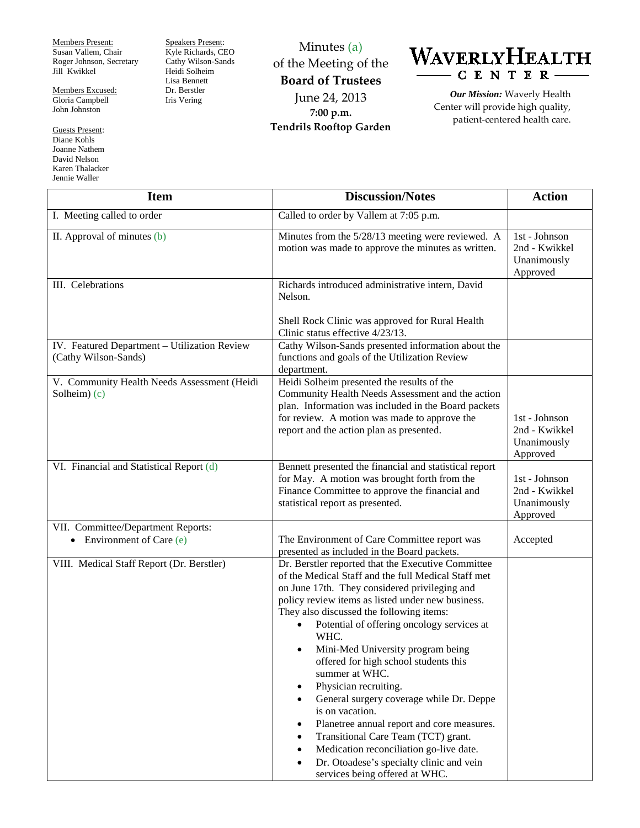Members Present: Susan Vallem, Chair Roger Johnson, Secretary Jill Kwikkel

Members Excused: Gloria Campbell John Johnston

Guests Present: Diane Kohls Joanne Nathem David Nelson Karen Thalacker Jennie Waller

Speakers Present: Kyle Richards, CEO Cathy Wilson-Sands Heidi Solheim Lisa Bennett Dr. Berstler Iris Vering

Minutes (a) of the Meeting of the **Board of Trustees** June 24, 2013 **7:00 p.m. Tendrils Rooftop Garden**



*Our Mission:* Waverly Health Center will provide high quality, patient-centered health care.

| <b>Item</b>                                                          | <b>Discussion/Notes</b>                                                                                                                                                                                                                                                                                                                                                                                                                                                                                                                                                                                                                                                                                                                                                               | <b>Action</b>                                               |
|----------------------------------------------------------------------|---------------------------------------------------------------------------------------------------------------------------------------------------------------------------------------------------------------------------------------------------------------------------------------------------------------------------------------------------------------------------------------------------------------------------------------------------------------------------------------------------------------------------------------------------------------------------------------------------------------------------------------------------------------------------------------------------------------------------------------------------------------------------------------|-------------------------------------------------------------|
| I. Meeting called to order                                           | Called to order by Vallem at 7:05 p.m.                                                                                                                                                                                                                                                                                                                                                                                                                                                                                                                                                                                                                                                                                                                                                |                                                             |
| II. Approval of minutes (b)                                          | Minutes from the 5/28/13 meeting were reviewed. A<br>motion was made to approve the minutes as written.                                                                                                                                                                                                                                                                                                                                                                                                                                                                                                                                                                                                                                                                               | $1st - Johnson$<br>2nd - Kwikkel<br>Unanimously<br>Approved |
| III. Celebrations                                                    | Richards introduced administrative intern, David<br>Nelson.<br>Shell Rock Clinic was approved for Rural Health                                                                                                                                                                                                                                                                                                                                                                                                                                                                                                                                                                                                                                                                        |                                                             |
| IV. Featured Department - Utilization Review<br>(Cathy Wilson-Sands) | Clinic status effective 4/23/13.<br>Cathy Wilson-Sands presented information about the<br>functions and goals of the Utilization Review<br>department.                                                                                                                                                                                                                                                                                                                                                                                                                                                                                                                                                                                                                                |                                                             |
| V. Community Health Needs Assessment (Heidi<br>Solheim $(c)$         | Heidi Solheim presented the results of the<br>Community Health Needs Assessment and the action<br>plan. Information was included in the Board packets<br>for review. A motion was made to approve the<br>report and the action plan as presented.                                                                                                                                                                                                                                                                                                                                                                                                                                                                                                                                     | 1st - Johnson<br>2nd - Kwikkel<br>Unanimously<br>Approved   |
| VI. Financial and Statistical Report (d)                             | Bennett presented the financial and statistical report<br>for May. A motion was brought forth from the<br>Finance Committee to approve the financial and<br>statistical report as presented.                                                                                                                                                                                                                                                                                                                                                                                                                                                                                                                                                                                          | 1st - Johnson<br>2nd - Kwikkel<br>Unanimously<br>Approved   |
| VII. Committee/Department Reports:<br>• Environment of Care $(e)$    | The Environment of Care Committee report was<br>presented as included in the Board packets.                                                                                                                                                                                                                                                                                                                                                                                                                                                                                                                                                                                                                                                                                           | Accepted                                                    |
| VIII. Medical Staff Report (Dr. Berstler)                            | Dr. Berstler reported that the Executive Committee<br>of the Medical Staff and the full Medical Staff met<br>on June 17th. They considered privileging and<br>policy review items as listed under new business.<br>They also discussed the following items:<br>Potential of offering oncology services at<br>$\bullet$<br>WHC.<br>Mini-Med University program being<br>٠<br>offered for high school students this<br>summer at WHC.<br>Physician recruiting.<br>$\bullet$<br>General surgery coverage while Dr. Deppe<br>$\bullet$<br>is on vacation.<br>Planetree annual report and core measures.<br>٠<br>Transitional Care Team (TCT) grant.<br>Medication reconciliation go-live date.<br>Dr. Otoadese's specialty clinic and vein<br>$\bullet$<br>services being offered at WHC. |                                                             |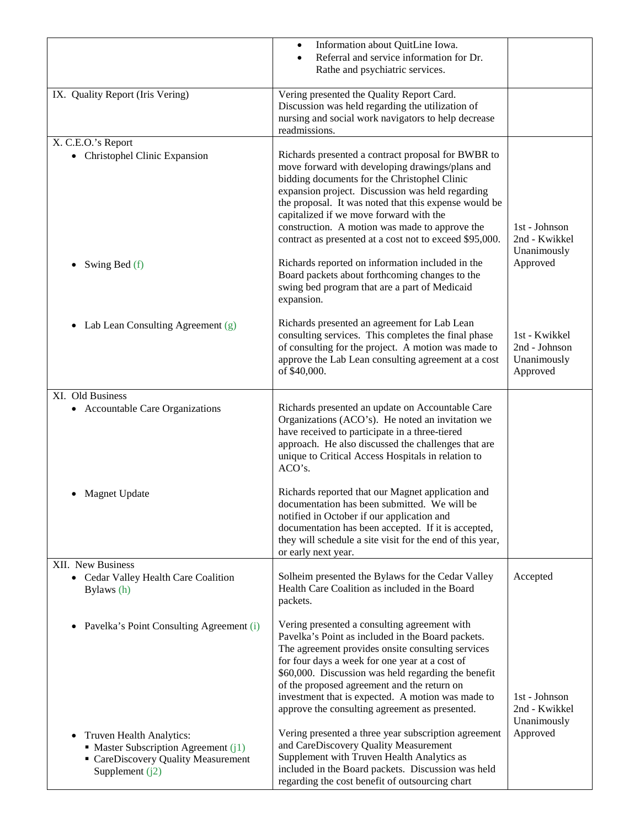|                                                                                                                                            | Information about QuitLine Iowa.<br>$\bullet$<br>Referral and service information for Dr.                                                                                                                                                                                                                                                                                                                                  |                                                           |
|--------------------------------------------------------------------------------------------------------------------------------------------|----------------------------------------------------------------------------------------------------------------------------------------------------------------------------------------------------------------------------------------------------------------------------------------------------------------------------------------------------------------------------------------------------------------------------|-----------------------------------------------------------|
|                                                                                                                                            | Rathe and psychiatric services.                                                                                                                                                                                                                                                                                                                                                                                            |                                                           |
| IX. Quality Report (Iris Vering)                                                                                                           | Vering presented the Quality Report Card.<br>Discussion was held regarding the utilization of<br>nursing and social work navigators to help decrease<br>readmissions.                                                                                                                                                                                                                                                      |                                                           |
| X. C.E.O.'s Report<br>• Christophel Clinic Expansion                                                                                       | Richards presented a contract proposal for BWBR to<br>move forward with developing drawings/plans and<br>bidding documents for the Christophel Clinic<br>expansion project. Discussion was held regarding<br>the proposal. It was noted that this expense would be<br>capitalized if we move forward with the<br>construction. A motion was made to approve the<br>contract as presented at a cost not to exceed \$95,000. | 1st - Johnson<br>2nd - Kwikkel<br>Unanimously             |
| Swing Bed (f)                                                                                                                              | Richards reported on information included in the<br>Board packets about forthcoming changes to the<br>swing bed program that are a part of Medicaid<br>expansion.                                                                                                                                                                                                                                                          | Approved                                                  |
| Lab Lean Consulting Agreement (g)<br>$\bullet$                                                                                             | Richards presented an agreement for Lab Lean<br>consulting services. This completes the final phase<br>of consulting for the project. A motion was made to<br>approve the Lab Lean consulting agreement at a cost<br>of \$40,000.                                                                                                                                                                                          | 1st - Kwikkel<br>2nd - Johnson<br>Unanimously<br>Approved |
| XI. Old Business<br><b>Accountable Care Organizations</b><br>$\bullet$                                                                     | Richards presented an update on Accountable Care<br>Organizations (ACO's). He noted an invitation we<br>have received to participate in a three-tiered<br>approach. He also discussed the challenges that are<br>unique to Critical Access Hospitals in relation to<br>ACO's.                                                                                                                                              |                                                           |
| <b>Magnet Update</b>                                                                                                                       | Richards reported that our Magnet application and<br>documentation has been submitted. We will be<br>notified in October if our application and<br>documentation has been accepted. If it is accepted,<br>they will schedule a site visit for the end of this year,<br>or early next year.                                                                                                                                 |                                                           |
| XII. New Business<br>Cedar Valley Health Care Coalition<br>$\bullet$<br>Bylaws (h)                                                         | Solheim presented the Bylaws for the Cedar Valley<br>Health Care Coalition as included in the Board<br>packets.                                                                                                                                                                                                                                                                                                            | Accepted                                                  |
| Pavelka's Point Consulting Agreement (i)<br>$\bullet$                                                                                      | Vering presented a consulting agreement with<br>Pavelka's Point as included in the Board packets.<br>The agreement provides onsite consulting services<br>for four days a week for one year at a cost of<br>\$60,000. Discussion was held regarding the benefit<br>of the proposed agreement and the return on<br>investment that is expected. A motion was made to<br>approve the consulting agreement as presented.      | 1st - Johnson<br>2nd - Kwikkel<br>Unanimously             |
| Truven Health Analytics:<br>$\bullet$<br>• Master Subscription Agreement $(i)$<br>• CareDiscovery Quality Measurement<br>Supplement $(i2)$ | Vering presented a three year subscription agreement<br>and CareDiscovery Quality Measurement<br>Supplement with Truven Health Analytics as<br>included in the Board packets. Discussion was held<br>regarding the cost benefit of outsourcing chart                                                                                                                                                                       | Approved                                                  |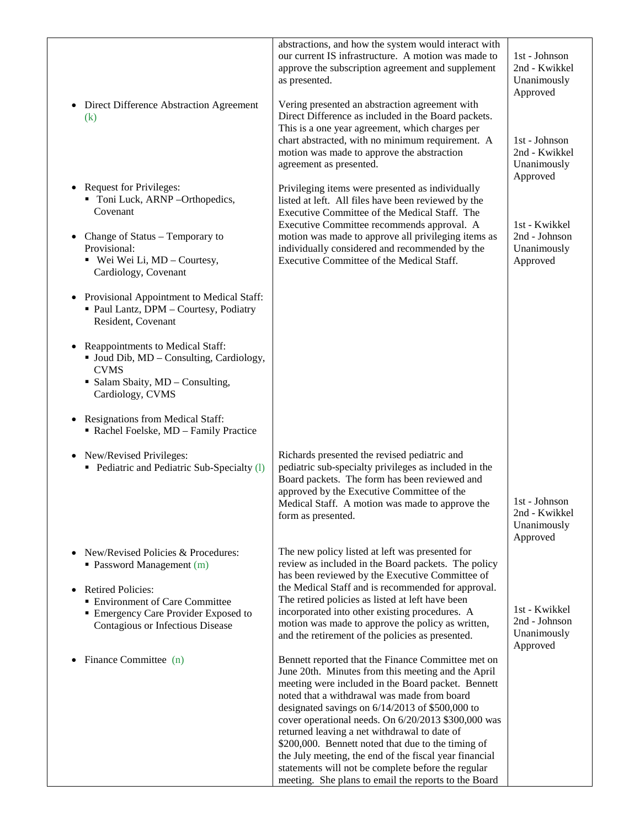| • Direct Difference Abstraction Agreement<br>(k)                                                                                                                                                                                                                                                                      | abstractions, and how the system would interact with<br>our current IS infrastructure. A motion was made to<br>approve the subscription agreement and supplement<br>as presented.<br>Vering presented an abstraction agreement with<br>Direct Difference as included in the Board packets.<br>This is a one year agreement, which charges per<br>chart abstracted, with no minimum requirement. A<br>motion was made to approve the abstraction<br>agreement as presented.                                                                                                                            | 1st - Johnson<br>2nd - Kwikkel<br>Unanimously<br>Approved<br>1st - Johnson<br>2nd - Kwikkel<br>Unanimously |
|-----------------------------------------------------------------------------------------------------------------------------------------------------------------------------------------------------------------------------------------------------------------------------------------------------------------------|-------------------------------------------------------------------------------------------------------------------------------------------------------------------------------------------------------------------------------------------------------------------------------------------------------------------------------------------------------------------------------------------------------------------------------------------------------------------------------------------------------------------------------------------------------------------------------------------------------|------------------------------------------------------------------------------------------------------------|
| • Request for Privileges:<br>• Toni Luck, ARNP-Orthopedics,<br>Covenant<br>• Change of Status – Temporary to<br>Provisional:<br>$\bullet$ Wei Wei Li, MD – Courtesy,<br>Cardiology, Covenant                                                                                                                          | Privileging items were presented as individually<br>listed at left. All files have been reviewed by the<br>Executive Committee of the Medical Staff. The<br>Executive Committee recommends approval. A<br>motion was made to approve all privileging items as<br>individually considered and recommended by the<br>Executive Committee of the Medical Staff.                                                                                                                                                                                                                                          | Approved<br>1st - Kwikkel<br>2nd - Johnson<br>Unanimously<br>Approved                                      |
| • Provisional Appointment to Medical Staff:<br>· Paul Lantz, DPM - Courtesy, Podiatry<br>Resident, Covenant<br>Reappointments to Medical Staff:<br>$\bullet$<br>• Joud Dib, MD - Consulting, Cardiology,<br><b>CVMS</b><br>• Salam Sbaity, MD - Consulting,<br>Cardiology, CVMS<br>• Resignations from Medical Staff: |                                                                                                                                                                                                                                                                                                                                                                                                                                                                                                                                                                                                       |                                                                                                            |
| Rachel Foelske, MD - Family Practice<br>• New/Revised Privileges:<br>• Pediatric and Pediatric Sub-Specialty (1)                                                                                                                                                                                                      | Richards presented the revised pediatric and<br>pediatric sub-specialty privileges as included in the<br>Board packets. The form has been reviewed and<br>approved by the Executive Committee of the<br>Medical Staff. A motion was made to approve the<br>form as presented.                                                                                                                                                                                                                                                                                                                         | 1st - Johnson<br>2nd - Kwikkel<br>Unanimously<br>Approved                                                  |
| New/Revised Policies & Procedures:<br>• Password Management (m)<br><b>Retired Policies:</b><br>$\bullet$<br><b>Environment of Care Committee</b><br><b>Emergency Care Provider Exposed to</b><br>Contagious or Infectious Disease                                                                                     | The new policy listed at left was presented for<br>review as included in the Board packets. The policy<br>has been reviewed by the Executive Committee of<br>the Medical Staff and is recommended for approval.<br>The retired policies as listed at left have been<br>incorporated into other existing procedures. A<br>motion was made to approve the policy as written,<br>and the retirement of the policies as presented.                                                                                                                                                                        | 1st - Kwikkel<br>2nd - Johnson<br>Unanimously<br>Approved                                                  |
| Finance Committee (n)                                                                                                                                                                                                                                                                                                 | Bennett reported that the Finance Committee met on<br>June 20th. Minutes from this meeting and the April<br>meeting were included in the Board packet. Bennett<br>noted that a withdrawal was made from board<br>designated savings on 6/14/2013 of \$500,000 to<br>cover operational needs. On 6/20/2013 \$300,000 was<br>returned leaving a net withdrawal to date of<br>\$200,000. Bennett noted that due to the timing of<br>the July meeting, the end of the fiscal year financial<br>statements will not be complete before the regular<br>meeting. She plans to email the reports to the Board |                                                                                                            |